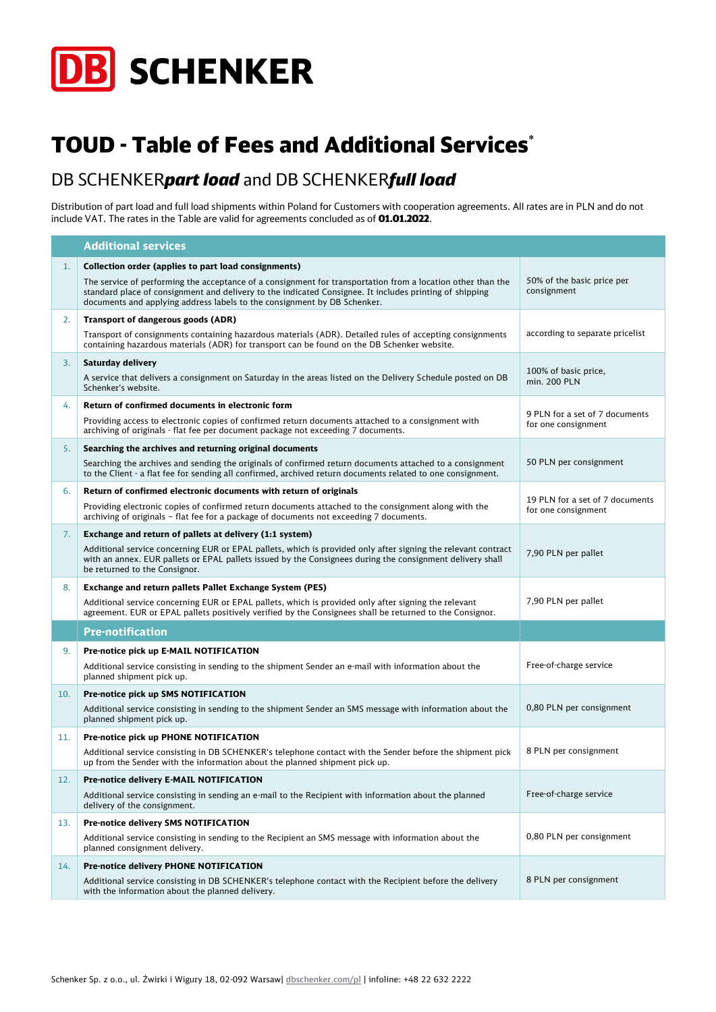

## TOUD - Table of Fees and Additional Services\*

## DB SCHENKER*part load* and DB SCHENKER*full load*

Distribution of part load and full load shipments within Poland for Customers with cooperation agreements. All rates are in PLN and do not include VAT. The rates in the Table are valid for agreements concluded as of 01.01.2022.

|     | <b>Additional services</b>                                                                                                                                                                                                                                                                         |                                                        |
|-----|----------------------------------------------------------------------------------------------------------------------------------------------------------------------------------------------------------------------------------------------------------------------------------------------------|--------------------------------------------------------|
| 1.  | Collection order (applies to part load consignments)                                                                                                                                                                                                                                               |                                                        |
|     | The service of performing the acceptance of a consignment for transportation from a location other than the<br>standard place of consignment and delivery to the indicated Consignee. It includes printing of shipping<br>documents and applying address labels to the consignment by DB Schenker. | 50% of the basic price per<br>consignment              |
| 2.  | Transport of dangerous goods (ADR)                                                                                                                                                                                                                                                                 |                                                        |
|     | Transport of consignments containing hazardous materials (ADR). Detailed rules of accepting consignments<br>containing hazardous materials (ADR) for transport can be found on the DB Schenker website.                                                                                            | according to separate pricelist                        |
| 3.  | Saturday delivery                                                                                                                                                                                                                                                                                  | 100% of basic price,                                   |
|     | A service that delivers a consignment on Saturday in the areas listed on the Delivery Schedule posted on DB<br>Schenker's website.                                                                                                                                                                 | min. 200 PLN                                           |
| 4.  | Return of confirmed documents in electronic form                                                                                                                                                                                                                                                   |                                                        |
|     | Providing access to electronic copies of confirmed return documents attached to a consignment with<br>archiving of originals - flat fee per document package not exceeding 7 documents.                                                                                                            | 9 PLN for a set of 7 documents<br>for one consignment  |
| 5.  | Searching the archives and returning original documents                                                                                                                                                                                                                                            |                                                        |
|     | Searching the archives and sending the originals of confirmed return documents attached to a consignment<br>to the Client - a flat fee for sending all confirmed, archived return documents related to one consignment.                                                                            | 50 PLN per consignment                                 |
| 6.  | Return of confirmed electronic documents with return of originals                                                                                                                                                                                                                                  |                                                        |
|     | Providing electronic copies of confirmed return documents attached to the consignment along with the<br>archiving of originals - flat fee for a package of documents not exceeding 7 documents.                                                                                                    | 19 PLN for a set of 7 documents<br>for one consignment |
| 7.  | Exchange and return of pallets at delivery (1:1 system)                                                                                                                                                                                                                                            |                                                        |
|     | Additional service concerning EUR or EPAL pallets, which is provided only after signing the relevant contract<br>with an annex. EUR pallets or EPAL pallets issued by the Consignees during the consignment delivery shall<br>be returned to the Consignor.                                        | 7,90 PLN per pallet                                    |
| 8.  | Exchange and return pallets Pallet Exchange System (PES)                                                                                                                                                                                                                                           |                                                        |
|     | Additional service concerning EUR or EPAL pallets, which is provided only after signing the relevant<br>agreement. EUR or EPAL pallets positively verified by the Consignees shall be returned to the Consignor.                                                                                   | 7,90 PLN per pallet                                    |
|     | <b>Pre-notification</b>                                                                                                                                                                                                                                                                            |                                                        |
| 9.  | Pre-notice pick up E-MAIL NOTIFICATION                                                                                                                                                                                                                                                             |                                                        |
|     | Additional service consisting in sending to the shipment Sender an e-mail with information about the<br>planned shipment pick up.                                                                                                                                                                  | Free-of-charge service                                 |
| 10. | Pre-notice pick up SMS NOTIFICATION                                                                                                                                                                                                                                                                |                                                        |
|     | Additional service consisting in sending to the shipment Sender an SMS message with information about the<br>planned shipment pick up.                                                                                                                                                             | 0,80 PLN per consignment                               |
| 11. | Pre-notice pick up PHONE NOTIFICATION                                                                                                                                                                                                                                                              |                                                        |
|     | Additional service consisting in DB SCHENKER's telephone contact with the Sender before the shipment pick<br>up from the Sender with the information about the planned shipment pick up.                                                                                                           | 8 PLN per consignment                                  |
| 12. | Pre-notice delivery E-MAIL NOTIFICATION                                                                                                                                                                                                                                                            |                                                        |
|     | Additional service consisting in sending an e-mail to the Recipient with information about the planned<br>delivery of the consignment.                                                                                                                                                             | Free-of-charge service                                 |
| 13. | Pre-notice delivery SMS NOTIFICATION                                                                                                                                                                                                                                                               |                                                        |
|     | Additional service consisting in sending to the Recipient an SMS message with information about the<br>planned consignment delivery.                                                                                                                                                               | 0,80 PLN per consignment                               |
| 14. | Pre-notice delivery PHONE NOTIFICATION                                                                                                                                                                                                                                                             |                                                        |
|     | Additional service consisting in DB SCHENKER's telephone contact with the Recipient before the delivery<br>with the information about the planned delivery.                                                                                                                                        | 8 PLN per consignment                                  |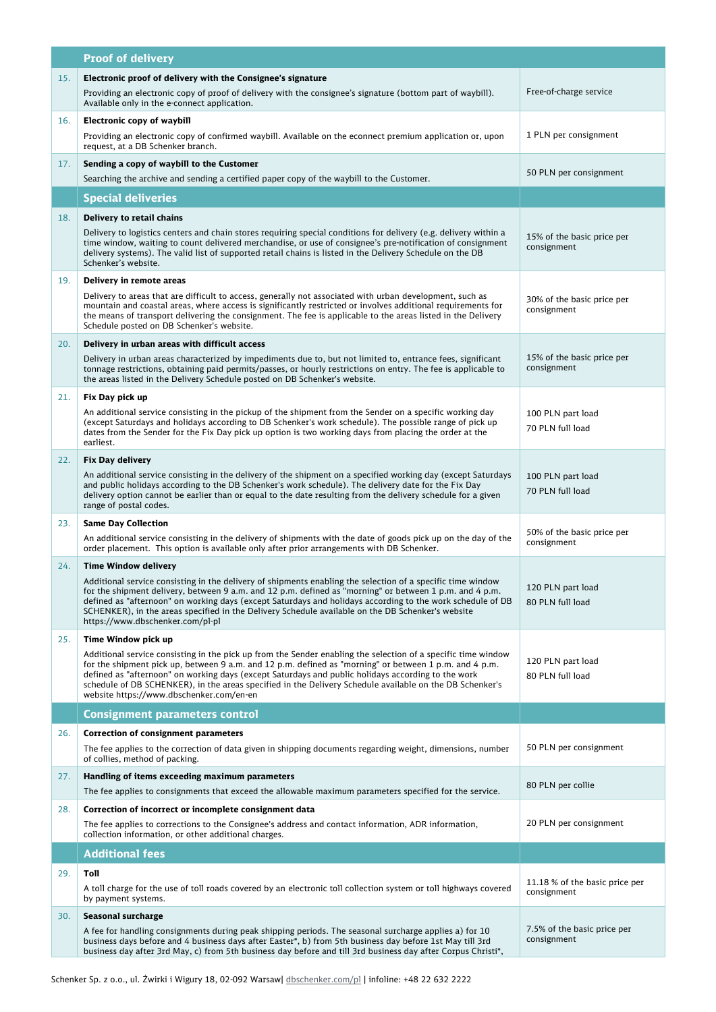|     | <b>Proof of delivery</b>                                                                                                                                                                                                                                                                                                                                                                                                                                                                                     |                                               |
|-----|--------------------------------------------------------------------------------------------------------------------------------------------------------------------------------------------------------------------------------------------------------------------------------------------------------------------------------------------------------------------------------------------------------------------------------------------------------------------------------------------------------------|-----------------------------------------------|
| 15. | Electronic proof of delivery with the Consignee's signature<br>Providing an electronic copy of proof of delivery with the consignee's signature (bottom part of waybill).<br>Available only in the e-connect application.                                                                                                                                                                                                                                                                                    | Free-of-charge service                        |
| 16. | Electronic copy of waybill<br>Providing an electronic copy of confirmed waybill. Available on the econnect premium application or, upon<br>request, at a DB Schenker branch.                                                                                                                                                                                                                                                                                                                                 | 1 PLN per consignment                         |
| 17. | Sending a copy of waybill to the Customer<br>Searching the archive and sending a certified paper copy of the waybill to the Customer.                                                                                                                                                                                                                                                                                                                                                                        | 50 PLN per consignment                        |
|     | <b>Special deliveries</b>                                                                                                                                                                                                                                                                                                                                                                                                                                                                                    |                                               |
| 18. | Delivery to retail chains                                                                                                                                                                                                                                                                                                                                                                                                                                                                                    |                                               |
|     | Delivery to logistics centers and chain stores requiring special conditions for delivery (e.g. delivery within a<br>time window, waiting to count delivered merchandise, or use of consignee's pre-notification of consignment<br>delivery systems). The valid list of supported retail chains is listed in the Delivery Schedule on the DB<br>Schenker's website.                                                                                                                                           | 15% of the basic price per<br>consignment     |
| 19. | Delivery in remote areas                                                                                                                                                                                                                                                                                                                                                                                                                                                                                     |                                               |
|     | Delivery to areas that are difficult to access, generally not associated with urban development, such as<br>mountain and coastal areas, where access is significantly restricted or involves additional requirements for<br>the means of transport delivering the consignment. The fee is applicable to the areas listed in the Delivery<br>Schedule posted on DB Schenker's website.                                                                                                                        | 30% of the basic price per<br>consignment     |
| 20. | Delivery in urban areas with difficult access                                                                                                                                                                                                                                                                                                                                                                                                                                                                |                                               |
|     | Delivery in urban areas characterized by impediments due to, but not limited to, entrance fees, significant<br>tonnage restrictions, obtaining paid permits/passes, or hourly restrictions on entry. The fee is applicable to<br>the areas listed in the Delivery Schedule posted on DB Schenker's website.                                                                                                                                                                                                  | 15% of the basic price per<br>consignment     |
| 21. | Fix Day pick up<br>An additional service consisting in the pickup of the shipment from the Sender on a specific working day                                                                                                                                                                                                                                                                                                                                                                                  | 100 PLN part load                             |
|     | (except Saturdays and holidays according to DB Schenker's work schedule). The possible range of pick up<br>dates from the Sender for the Fix Day pick up option is two working days from placing the order at the<br>earliest.                                                                                                                                                                                                                                                                               | 70 PLN full load                              |
| 22. | <b>Fix Day delivery</b><br>An additional service consisting in the delivery of the shipment on a specified working day (except Saturdays<br>and public holidays according to the DB Schenker's work schedule). The delivery date for the Fix Day<br>delivery option cannot be earlier than or equal to the date resulting from the delivery schedule for a given<br>range of postal codes.                                                                                                                   | 100 PLN part load<br>70 PLN full load         |
| 23. | <b>Same Day Collection</b><br>An additional service consisting in the delivery of shipments with the date of goods pick up on the day of the<br>order placement. This option is available only after prior arrangements with DB Schenker.                                                                                                                                                                                                                                                                    | 50% of the basic price per<br>consignment     |
| 24. | <b>Time Window delivery</b>                                                                                                                                                                                                                                                                                                                                                                                                                                                                                  |                                               |
|     | Additional service consisting in the delivery of shipments enabling the selection of a specific time window<br>tor the shipment delivery, between 9 a.m. and 12 p.m. defined as "morning" or between 1 p.m. and 4 p.m.<br>defined as "afternoon" on working days (except Saturdays and holidays according to the work schedule of DB<br>SCHENKER), in the areas specified in the Delivery Schedule available on the DB Schenker's website<br>https://www.dbschenker.com/pl-pl                                | 120 PLN part load<br>80 PLN full load         |
| 25. | Time Window pick up<br>Additional service consisting in the pick up from the Sender enabling the selection of a specific time window<br>for the shipment pick up, between 9 a.m. and 12 p.m. defined as "morning" or between 1 p.m. and 4 p.m.<br>defined as "afternoon" on working days (except Saturdays and public holidays according to the work<br>schedule of DB SCHENKER), in the areas specified in the Delivery Schedule available on the DB Schenker's<br>website https://www.dbschenker.com/en-en | 120 PLN part load<br>80 PLN full load         |
|     | <b>Consignment parameters control</b>                                                                                                                                                                                                                                                                                                                                                                                                                                                                        |                                               |
| 26. | <b>Correction of consignment parameters</b>                                                                                                                                                                                                                                                                                                                                                                                                                                                                  |                                               |
|     | The fee applies to the correction of data given in shipping documents regarding weight, dimensions, number<br>of collies, method of packing.                                                                                                                                                                                                                                                                                                                                                                 | 50 PLN per consignment                        |
| 27. | Handling of items exceeding maximum parameters<br>The fee applies to consignments that exceed the allowable maximum parameters specified for the service.                                                                                                                                                                                                                                                                                                                                                    | 80 PLN per collie                             |
| 28. | Correction of incorrect or incomplete consignment data                                                                                                                                                                                                                                                                                                                                                                                                                                                       |                                               |
|     | The fee applies to corrections to the Consignee's address and contact information, ADR information,<br>collection information, or other additional charges.                                                                                                                                                                                                                                                                                                                                                  | 20 PLN per consignment                        |
|     | <b>Additional fees</b>                                                                                                                                                                                                                                                                                                                                                                                                                                                                                       |                                               |
| 29. | Toll<br>A toll charge for the use of toll roads covered by an electronic toll collection system or toll highways covered<br>by payment systems.                                                                                                                                                                                                                                                                                                                                                              | 11.18 % of the basic price per<br>consignment |
| 30. | Seasonal surcharge                                                                                                                                                                                                                                                                                                                                                                                                                                                                                           |                                               |
|     | A fee for handling consignments during peak shipping periods. The seasonal surcharge applies a) for 10<br>business days before and 4 business days after Easter*, b) from 5th business day before 1st May till 3rd<br>business day after 3rd May, c) from 5th business day before and till 3rd business day after Corpus Christi*,                                                                                                                                                                           | 7.5% of the basic price per<br>consignment    |